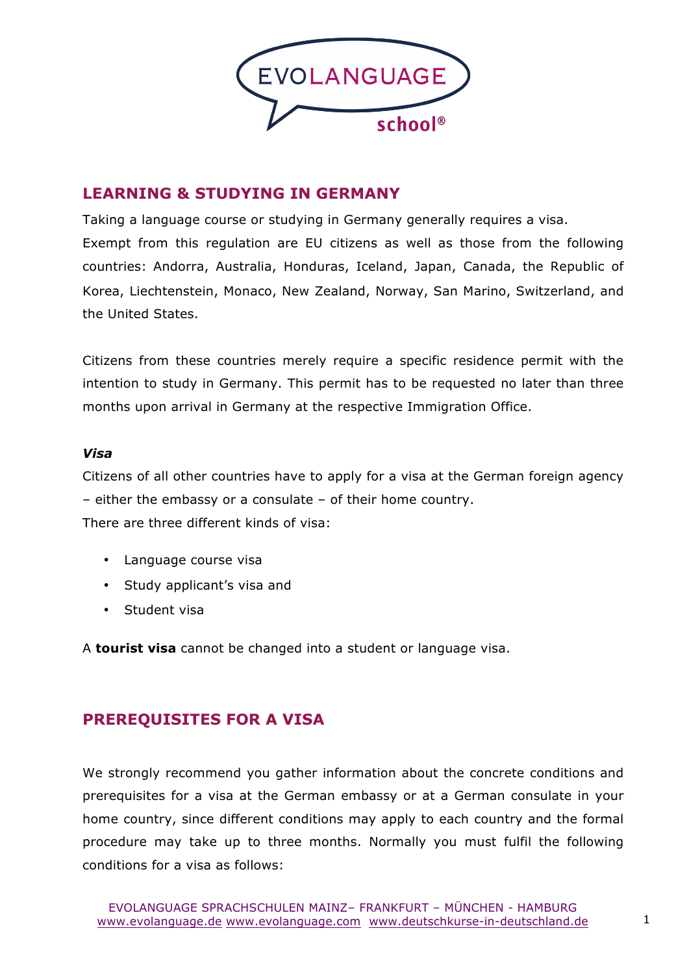

### **LEARNING & STUDYING IN GERMANY**

Taking a language course or studying in Germany generally requires a visa. Exempt from this regulation are EU citizens as well as those from the following countries: Andorra, Australia, Honduras, Iceland, Japan, Canada, the Republic of Korea, Liechtenstein, Monaco, New Zealand, Norway, San Marino, Switzerland, and the United States.

Citizens from these countries merely require a specific residence permit with the intention to study in Germany. This permit has to be requested no later than three months upon arrival in Germany at the respective Immigration Office.

### *Visa*

Citizens of all other countries have to apply for a visa at the German foreign agency – either the embassy or a consulate – of their home country.

There are three different kinds of visa:

- Language course visa
- Study applicant's visa and
- Student visa

A **tourist visa** cannot be changed into a student or language visa.

# **PREREQUISITES FOR A VISA**

We strongly recommend you gather information about the concrete conditions and prerequisites for a visa at the German embassy or at a German consulate in your home country, since different conditions may apply to each country and the formal procedure may take up to three months. Normally you must fulfil the following conditions for a visa as follows: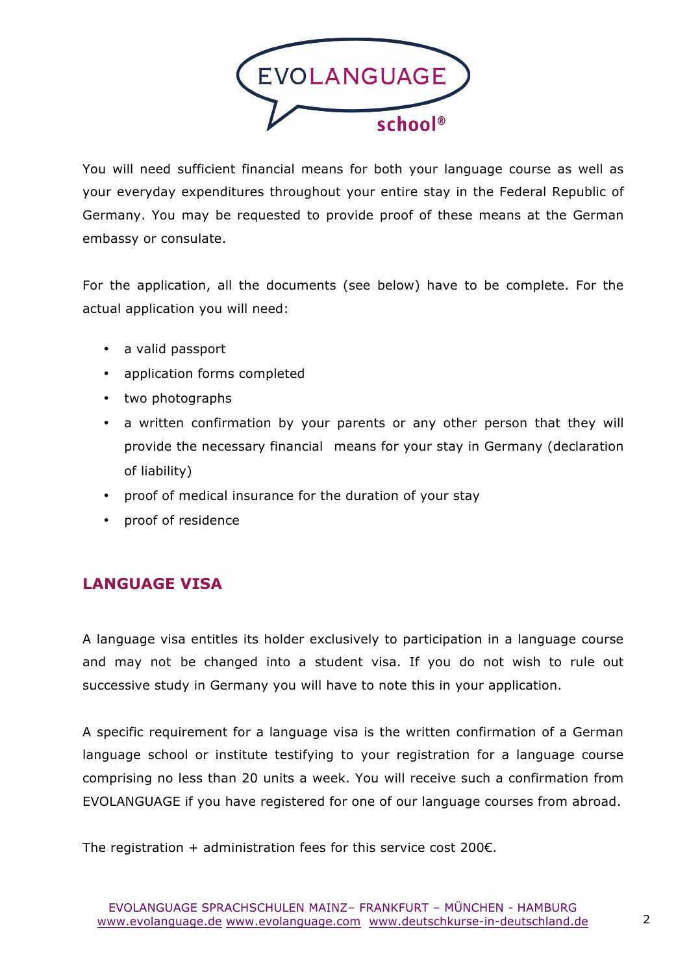

You will need sufficient financial means for both your language course as well as your everyday expenditures throughout your entire stay in the Federal Republic of Germany. You may be requested to provide proof of these means at the German embassy or consulate.

For the application, all the documents (see below) have to be complete. For the actual application you will need:

- a valid passport
- application forms completed
- two photographs
- a written confirmation by your parents or any other person that they will provide the necessary financial means for your stay in Germany (declaration of liability)
- proof of medical insurance for the duration of your stay
- proof of residence

# **LANGUAGE VISA**

A language visa entitles its holder exclusively to participation in a language course and may not be changed into a student visa. If you do not wish to rule out successive study in Germany you will have to note this in your application.

A specific requirement for a language visa is the written confirmation of a German language school or institute testifying to your registration for a language course comprising no less than 20 units a week. You will receive such a confirmation from EVOLANGUAGE if you have registered for one of our language courses from abroad.

The registration + administration fees for this service cost 200 $\varepsilon$ .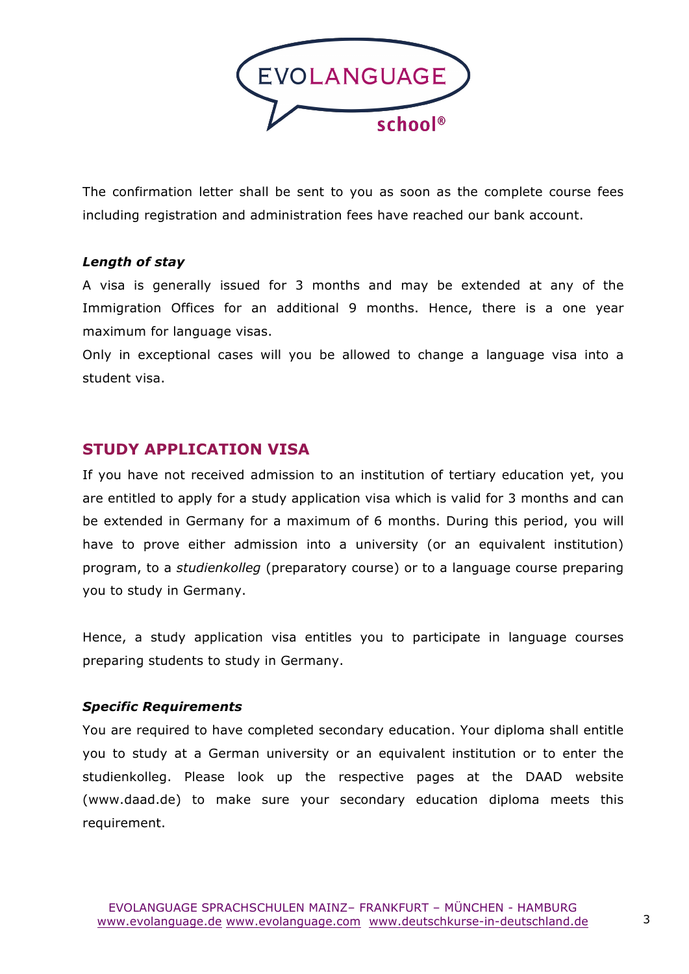

The confirmation letter shall be sent to you as soon as the complete course fees including registration and administration fees have reached our bank account.

#### *Length of stay*

A visa is generally issued for 3 months and may be extended at any of the Immigration Offices for an additional 9 months. Hence, there is a one year maximum for language visas.

Only in exceptional cases will you be allowed to change a language visa into a student visa.

### **STUDY APPLICATION VISA**

If you have not received admission to an institution of tertiary education yet, you are entitled to apply for a study application visa which is valid for 3 months and can be extended in Germany for a maximum of 6 months. During this period, you will have to prove either admission into a university (or an equivalent institution) program, to a *studienkolleg* (preparatory course) or to a language course preparing you to study in Germany.

Hence, a study application visa entitles you to participate in language courses preparing students to study in Germany.

#### *Specific Requirements*

You are required to have completed secondary education. Your diploma shall entitle you to study at a German university or an equivalent institution or to enter the studienkolleg. Please look up the respective pages at the DAAD website (www.daad.de) to make sure your secondary education diploma meets this requirement.